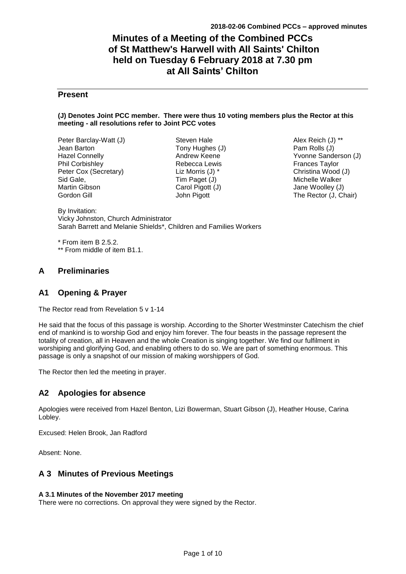# **Minutes of a Meeting of the Combined PCCs of St Matthew's Harwell with All Saints' Chilton held on Tuesday 6 February 2018 at 7.30 pm at All Saints' Chilton**

# **Present**

### **(J) Denotes Joint PCC member. There were thus 10 voting members plus the Rector at this meeting - all resolutions refer to Joint PCC votes**

Peter Barclay-Watt (J) Jean Barton Hazel Connelly Phil Corbishley Peter Cox (Secretary) Sid Gale, Martin Gibson Gordon Gill

Steven Hale Tony Hughes (J) Andrew Keene Rebecca Lewis Liz Morris (J) \* Tim Paget (J) Carol Pigott (J) John Pigott

Alex Reich (J) \*\* Pam Rolls (J) Yvonne Sanderson (J) Frances Taylor Christina Wood (J) Michelle Walker Jane Woolley (J) The Rector (J, Chair)

By Invitation: Vicky Johnston, Church Administrator Sarah Barrett and Melanie Shields\*, Children and Families Workers

\* From item B 2.5.2. \*\* From middle of item B1.1.

# **A Preliminaries**

# **A1 Opening & Prayer**

The Rector read from Revelation 5 v 1-14

He said that the focus of this passage is worship. According to the Shorter Westminster Catechism the chief end of mankind is to worship God and enjoy him forever. The four beasts in the passage represent the totality of creation, all in Heaven and the whole Creation is singing together. We find our fulfilment in worshiping and glorifying God, and enabling others to do so. We are part of something enormous. This passage is only a snapshot of our mission of making worshippers of God.

The Rector then led the meeting in prayer.

# **A2 Apologies for absence**

Apologies were received from Hazel Benton, Lizi Bowerman, Stuart Gibson (J), Heather House, Carina Lobley.

Excused: Helen Brook, Jan Radford

Absent: None.

# **A 3 Minutes of Previous Meetings**

# **A 3.1 Minutes of the November 2017 meeting**

There were no corrections. On approval they were signed by the Rector.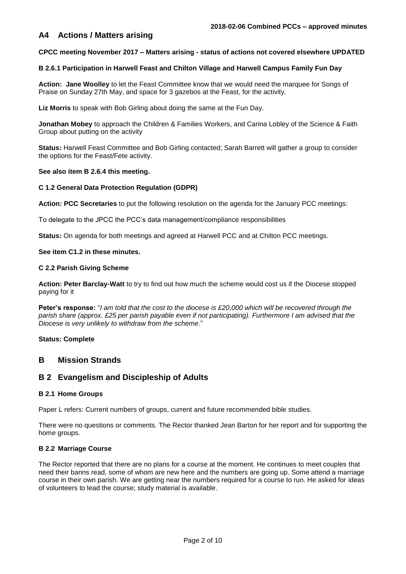# **A4 Actions / Matters arising**

#### **CPCC meeting November 2017 – Matters arising - status of actions not covered elsewhere UPDATED**

## **B 2.6.1 Participation in Harwell Feast and Chilton Village and Harwell Campus Family Fun Day**

**Action: Jane Woolley** to let the Feast Committee know that we would need the marquee for Songs of Praise on Sunday 27th May, and space for 3 gazebos at the Feast, for the activity.

**Liz Morris** to speak with Bob Girling about doing the same at the Fun Day.

**Jonathan Mobey** to approach the Children & Families Workers, and Carina Lobley of the Science & Faith Group about putting on the activity

**Status:** Harwell Feast Committee and Bob Girling contacted; Sarah Barrett will gather a group to consider the options for the Feast/Fete activity.

#### **See also item B 2.6.4 this meeting.**

#### **C 1.2 General Data Protection Regulation (GDPR)**

**Action: PCC Secretaries** to put the following resolution on the agenda for the January PCC meetings:

To delegate to the JPCC the PCC's data management/compliance responsibilities

**Status:** On agenda for both meetings and agreed at Harwell PCC and at Chilton PCC meetings.

# **See item C1.2 in these minutes.**

#### **C 2.2 Parish Giving Scheme**

**Action: Peter Barclay-Watt** to try to find out how much the scheme would cost us if the Diocese stopped paying for it

**Peter's response:** "*I am told that the cost to the diocese is £20,000 which will be recovered through the parish share (approx. £25 per parish payable even if not participating). Furthermore I am advised that the Diocese is very unlikely to withdraw from the scheme*."

#### **Status: Complete**

# **B Mission Strands**

# **B 2 Evangelism and Discipleship of Adults**

#### **B 2.1 Home Groups**

Paper L refers: Current numbers of groups, current and future recommended bible studies.

There were no questions or comments. The Rector thanked Jean Barton for her report and for supporting the home groups.

#### **B 2.2 Marriage Course**

The Rector reported that there are no plans for a course at the moment. He continues to meet couples that need their banns read, some of whom are new here and the numbers are going up. Some attend a marriage course in their own parish. We are getting near the numbers required for a course to run. He asked for ideas of volunteers to lead the course; study material is available.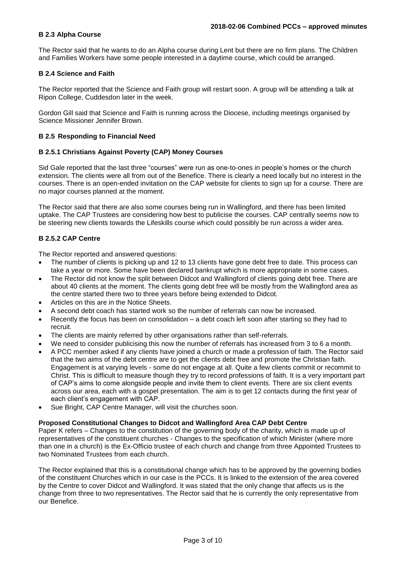## **B 2.3 Alpha Course**

The Rector said that he wants to do an Alpha course during Lent but there are no firm plans. The Children and Families Workers have some people interested in a daytime course, which could be arranged.

# **B 2.4 Science and Faith**

The Rector reported that the Science and Faith group will restart soon. A group will be attending a talk at Ripon College, Cuddesdon later in the week.

Gordon Gill said that Science and Faith is running across the Diocese, including meetings organised by Science Missioner Jennifer Brown.

# **B 2.5 Responding to Financial Need**

# **B 2.5.1 Christians Against Poverty (CAP) Money Courses**

Sid Gale reported that the last three "courses" were run as one-to-ones in people's homes or the church extension. The clients were all from out of the Benefice. There is clearly a need locally but no interest in the courses. There is an open-ended invitation on the CAP website for clients to sign up for a course. There are no major courses planned at the moment.

The Rector said that there are also some courses being run in Wallingford, and there has been limited uptake. The CAP Trustees are considering how best to publicise the courses. CAP centrally seems now to be steering new clients towards the Lifeskills course which could possibly be run across a wider area.

# **B 2.5.2 CAP Centre**

The Rector reported and answered questions:

- The number of clients is picking up and 12 to 13 clients have gone debt free to date. This process can take a year or more. Some have been declared bankrupt which is more appropriate in some cases.
- The Rector did not know the split between Didcot and Wallingford of clients going debt free. There are about 40 clients at the moment. The clients going debt free will be mostly from the Wallingford area as the centre started there two to three years before being extended to Didcot.
- Articles on this are in the Notice Sheets.
- A second debt coach has started work so the number of referrals can now be increased.
- Recently the focus has been on consolidation a debt coach left soon after starting so they had to recruit.
- The clients are mainly referred by other organisations rather than self-referrals.
- We need to consider publicising this now the number of referrals has increased from 3 to 6 a month.
- A PCC member asked if any clients have joined a church or made a profession of faith. The Rector said that the two aims of the debt centre are to get the clients debt free and promote the Christian faith. Engagement is at varying levels - some do not engage at all. Quite a few clients commit or recommit to Christ. This is difficult to measure though they try to record professions of faith. It is a very important part of CAP's aims to come alongside people and invite them to client events. There are six client events across our area, each with a gospel presentation. The aim is to get 12 contacts during the first year of each client's engagement with CAP.
- Sue Bright, CAP Centre Manager, will visit the churches soon.

#### **Proposed Constitutional Changes to Didcot and Wallingford Area CAP Debt Centre**

Paper K refers – Changes to the constitution of the governing body of the charity, which is made up of representatives of the constituent churches - Changes to the specification of which Minister (where more than one in a church) is the Ex-Officio trustee of each church and change from three Appointed Trustees to two Nominated Trustees from each church.

The Rector explained that this is a constitutional change which has to be approved by the governing bodies of the constituent Churches which in our case is the PCCs. It is linked to the extension of the area covered by the Centre to cover Didcot and Wallingford. It was stated that the only change that affects us is the change from three to two representatives. The Rector said that he is currently the only representative from our Benefice.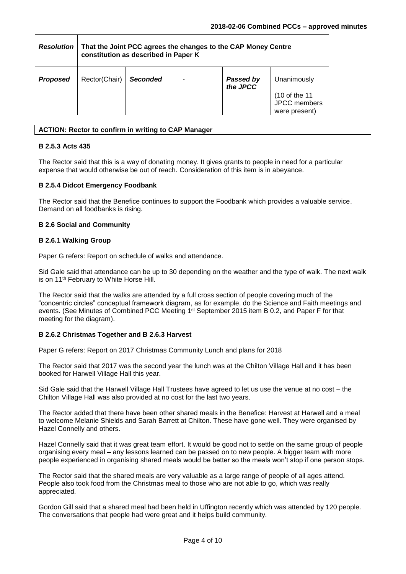| <b>Resolution</b> | That the Joint PCC agrees the changes to the CAP Money Centre<br>constitution as described in Paper K |          |  |                              |                                                |  |  |
|-------------------|-------------------------------------------------------------------------------------------------------|----------|--|------------------------------|------------------------------------------------|--|--|
| <b>Proposed</b>   | Rector(Chair)                                                                                         | Seconded |  | <b>Passed by</b><br>the JPCC | Unanimously                                    |  |  |
|                   |                                                                                                       |          |  |                              | (10 of the 11<br>JPCC members<br>were present) |  |  |

## **ACTION: Rector to confirm in writing to CAP Manager**

## **B 2.5.3 Acts 435**

The Rector said that this is a way of donating money. It gives grants to people in need for a particular expense that would otherwise be out of reach. Consideration of this item is in abeyance.

### **B 2.5.4 Didcot Emergency Foodbank**

The Rector said that the Benefice continues to support the Foodbank which provides a valuable service. Demand on all foodbanks is rising.

### **B 2.6 Social and Community**

#### **B 2.6.1 Walking Group**

Paper G refers: Report on schedule of walks and attendance.

Sid Gale said that attendance can be up to 30 depending on the weather and the type of walk. The next walk is on 11<sup>th</sup> February to White Horse Hill.

The Rector said that the walks are attended by a full cross section of people covering much of the "concentric circles" conceptual framework diagram, as for example, do the Science and Faith meetings and events. (See Minutes of Combined PCC Meeting 1<sup>st</sup> September 2015 item B 0.2, and Paper F for that meeting for the diagram).

#### **B 2.6.2 Christmas Together and B 2.6.3 Harvest**

Paper G refers: Report on 2017 Christmas Community Lunch and plans for 2018

The Rector said that 2017 was the second year the lunch was at the Chilton Village Hall and it has been booked for Harwell Village Hall this year.

Sid Gale said that the Harwell Village Hall Trustees have agreed to let us use the venue at no cost – the Chilton Village Hall was also provided at no cost for the last two years.

The Rector added that there have been other shared meals in the Benefice: Harvest at Harwell and a meal to welcome Melanie Shields and Sarah Barrett at Chilton. These have gone well. They were organised by Hazel Connelly and others.

Hazel Connelly said that it was great team effort. It would be good not to settle on the same group of people organising every meal – any lessons learned can be passed on to new people. A bigger team with more people experienced in organising shared meals would be better so the meals won't stop if one person stops.

The Rector said that the shared meals are very valuable as a large range of people of all ages attend. People also took food from the Christmas meal to those who are not able to go, which was really appreciated.

Gordon Gill said that a shared meal had been held in Uffington recently which was attended by 120 people. The conversations that people had were great and it helps build community.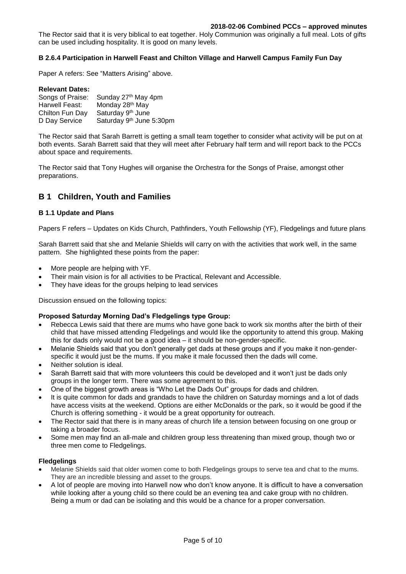#### **2018-02-06 Combined PCCs – approved minutes**

The Rector said that it is very biblical to eat together. Holy Communion was originally a full meal. Lots of gifts can be used including hospitality. It is good on many levels.

# **B 2.6.4 Participation in Harwell Feast and Chilton Village and Harwell Campus Family Fun Day**

Paper A refers: See "Matters Arising" above.

#### **Relevant Dates:**

| Songs of Praise: | Sunday 27th May 4pm         |
|------------------|-----------------------------|
| Harwell Feast:   | Monday 28 <sup>th</sup> May |
| Chilton Fun Day  | Saturday 9th June           |
| D Day Service    | Saturday 9th June 5:30pm    |

The Rector said that Sarah Barrett is getting a small team together to consider what activity will be put on at both events. Sarah Barrett said that they will meet after February half term and will report back to the PCCs about space and requirements.

The Rector said that Tony Hughes will organise the Orchestra for the Songs of Praise, amongst other preparations.

# **B 1 Children, Youth and Families**

### **B 1.1 Update and Plans**

Papers F refers – Updates on Kids Church, Pathfinders, Youth Fellowship (YF), Fledgelings and future plans

Sarah Barrett said that she and Melanie Shields will carry on with the activities that work well, in the same pattern. She highlighted these points from the paper:

- More people are helping with YF.
- Their main vision is for all activities to be Practical, Relevant and Accessible.
- They have ideas for the groups helping to lead services

Discussion ensued on the following topics:

#### **Proposed Saturday Morning Dad's Fledgelings type Group:**

- Rebecca Lewis said that there are mums who have gone back to work six months after the birth of their child that have missed attending Fledgelings and would like the opportunity to attend this group. Making this for dads only would not be a good idea – it should be non-gender-specific.
- Melanie Shields said that you don't generally get dads at these groups and if you make it non-genderspecific it would just be the mums. If you make it male focussed then the dads will come.
- Neither solution is ideal.
- Sarah Barrett said that with more volunteers this could be developed and it won't just be dads only groups in the longer term. There was some agreement to this.
- One of the biggest growth areas is "Who Let the Dads Out" groups for dads and children.
- It is quite common for dads and grandads to have the children on Saturday mornings and a lot of dads have access visits at the weekend. Options are either McDonalds or the park, so it would be good if the Church is offering something - it would be a great opportunity for outreach.
- The Rector said that there is in many areas of church life a tension between focusing on one group or taking a broader focus.
- Some men may find an all-male and children group less threatening than mixed group, though two or three men come to Fledgelings.

#### **Fledgelings**

- Melanie Shields said that older women come to both Fledgelings groups to serve tea and chat to the mums. They are an incredible blessing and asset to the groups.
- A lot of people are moving into Harwell now who don't know anyone. It is difficult to have a conversation while looking after a young child so there could be an evening tea and cake group with no children. Being a mum or dad can be isolating and this would be a chance for a proper conversation.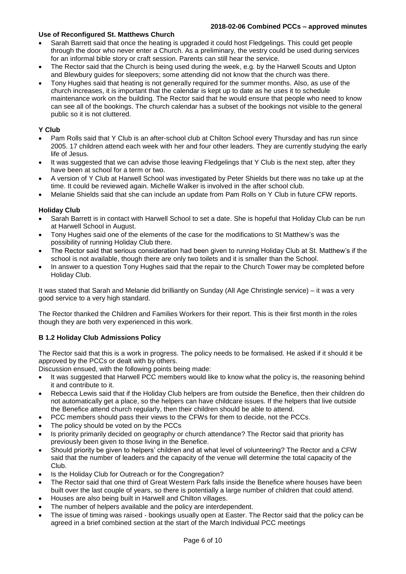#### **2018-02-06 Combined PCCs – approved minutes**

# **Use of Reconfigured St. Matthews Church**

- Sarah Barrett said that once the heating is upgraded it could host Fledgelings. This could get people through the door who never enter a Church. As a preliminary, the vestry could be used during services for an informal bible story or craft session. Parents can still hear the service.
- The Rector said that the Church is being used during the week, e.g. by the Harwell Scouts and Upton and Blewbury guides for sleepovers; some attending did not know that the church was there.
- Tony Hughes said that heating is not generally required for the summer months. Also, as use of the church increases, it is important that the calendar is kept up to date as he uses it to schedule maintenance work on the building. The Rector said that he would ensure that people who need to know can see all of the bookings. The church calendar has a subset of the bookings not visible to the general public so it is not cluttered.

# **Y Club**

- Pam Rolls said that Y Club is an after-school club at Chilton School every Thursday and has run since 2005. 17 children attend each week with her and four other leaders. They are currently studying the early life of Jesus.
- It was suggested that we can advise those leaving Fledgelings that Y Club is the next step, after they have been at school for a term or two.
- A version of Y Club at Harwell School was investigated by Peter Shields but there was no take up at the time. It could be reviewed again. Michelle Walker is involved in the after school club.
- Melanie Shields said that she can include an update from Pam Rolls on Y Club in future CFW reports.

# **Holiday Club**

- Sarah Barrett is in contact with Harwell School to set a date. She is hopeful that Holiday Club can be run at Harwell School in August.
- Tony Hughes said one of the elements of the case for the modifications to St Matthew's was the possibility of running Holiday Club there.
- The Rector said that serious consideration had been given to running Holiday Club at St. Matthew's if the school is not available, though there are only two toilets and it is smaller than the School.
- In answer to a question Tony Hughes said that the repair to the Church Tower may be completed before Holiday Club.

It was stated that Sarah and Melanie did brilliantly on Sunday (All Age Christingle service) – it was a very good service to a very high standard.

The Rector thanked the Children and Families Workers for their report. This is their first month in the roles though they are both very experienced in this work.

# **B 1.2 Holiday Club Admissions Policy**

The Rector said that this is a work in progress. The policy needs to be formalised. He asked if it should it be approved by the PCCs or dealt with by others.

Discussion ensued, with the following points being made:

- It was suggested that Harwell PCC members would like to know what the policy is, the reasoning behind it and contribute to it.
- Rebecca Lewis said that if the Holiday Club helpers are from outside the Benefice, then their children do not automatically get a place, so the helpers can have childcare issues. If the helpers that live outside the Benefice attend church regularly, then their children should be able to attend.
- PCC members should pass their views to the CFWs for them to decide, not the PCCs.
- The policy should be voted on by the PCCs
- Is priority primarily decided on geography or church attendance? The Rector said that priority has previously been given to those living in the Benefice.
- Should priority be given to helpers' children and at what level of volunteering? The Rector and a CFW said that the number of leaders and the capacity of the venue will determine the total capacity of the Club.
- Is the Holiday Club for Outreach or for the Congregation?
- The Rector said that one third of Great Western Park falls inside the Benefice where houses have been built over the last couple of years, so there is potentially a large number of children that could attend.
- Houses are also being built in Harwell and Chilton villages.
- The number of helpers available and the policy are interdependent.
- The issue of timing was raised bookings usually open at Easter. The Rector said that the policy can be agreed in a brief combined section at the start of the March Individual PCC meetings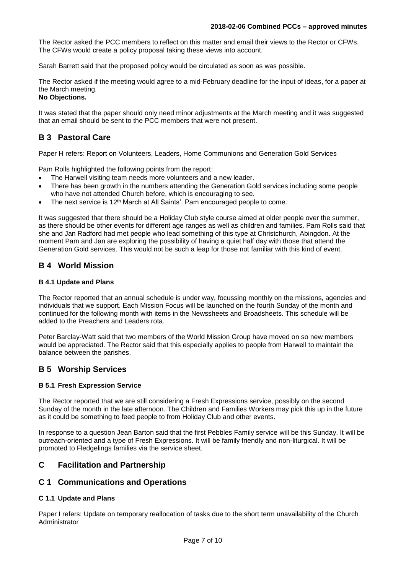The Rector asked the PCC members to reflect on this matter and email their views to the Rector or CFWs. The CFWs would create a policy proposal taking these views into account.

Sarah Barrett said that the proposed policy would be circulated as soon as was possible.

The Rector asked if the meeting would agree to a mid-February deadline for the input of ideas, for a paper at the March meeting.

#### **No Objections.**

It was stated that the paper should only need minor adjustments at the March meeting and it was suggested that an email should be sent to the PCC members that were not present.

# **B 3 Pastoral Care**

Paper H refers: Report on Volunteers, Leaders, Home Communions and Generation Gold Services

Pam Rolls highlighted the following points from the report:

- The Harwell visiting team needs more volunteers and a new leader.
- There has been growth in the numbers attending the Generation Gold services including some people who have not attended Church before, which is encouraging to see.
- The next service is 12<sup>th</sup> March at All Saints'. Pam encouraged people to come.

It was suggested that there should be a Holiday Club style course aimed at older people over the summer, as there should be other events for different age ranges as well as children and families. Pam Rolls said that she and Jan Radford had met people who lead something of this type at Christchurch, Abingdon. At the moment Pam and Jan are exploring the possibility of having a quiet half day with those that attend the Generation Gold services. This would not be such a leap for those not familiar with this kind of event.

# **B 4 World Mission**

### **B 4.1 Update and Plans**

The Rector reported that an annual schedule is under way, focussing monthly on the missions, agencies and individuals that we support. Each Mission Focus will be launched on the fourth Sunday of the month and continued for the following month with items in the Newssheets and Broadsheets. This schedule will be added to the Preachers and Leaders rota.

Peter Barclay-Watt said that two members of the World Mission Group have moved on so new members would be appreciated. The Rector said that this especially applies to people from Harwell to maintain the balance between the parishes.

# **B 5 Worship Services**

# **B 5.1 Fresh Expression Service**

The Rector reported that we are still considering a Fresh Expressions service, possibly on the second Sunday of the month in the late afternoon. The Children and Families Workers may pick this up in the future as it could be something to feed people to from Holiday Club and other events.

In response to a question Jean Barton said that the first Pebbles Family service will be this Sunday. It will be outreach-oriented and a type of Fresh Expressions. It will be family friendly and non-liturgical. It will be promoted to Fledgelings families via the service sheet.

# **C Facilitation and Partnership**

# **C 1 Communications and Operations**

# **C 1.1 Update and Plans**

Paper I refers: Update on temporary reallocation of tasks due to the short term unavailability of the Church Administrator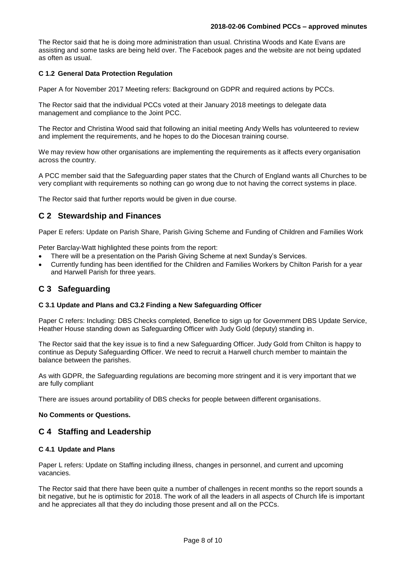The Rector said that he is doing more administration than usual. Christina Woods and Kate Evans are assisting and some tasks are being held over. The Facebook pages and the website are not being updated as often as usual.

# **C 1.2 General Data Protection Regulation**

Paper A for November 2017 Meeting refers: Background on GDPR and required actions by PCCs.

The Rector said that the individual PCCs voted at their January 2018 meetings to delegate data management and compliance to the Joint PCC.

The Rector and Christina Wood said that following an initial meeting Andy Wells has volunteered to review and implement the requirements, and he hopes to do the Diocesan training course.

We may review how other organisations are implementing the requirements as it affects every organisation across the country.

A PCC member said that the Safeguarding paper states that the Church of England wants all Churches to be very compliant with requirements so nothing can go wrong due to not having the correct systems in place.

The Rector said that further reports would be given in due course.

# **C 2 Stewardship and Finances**

Paper E refers: Update on Parish Share, Parish Giving Scheme and Funding of Children and Families Work

Peter Barclay-Watt highlighted these points from the report:

- There will be a presentation on the Parish Giving Scheme at next Sunday's Services.
- Currently funding has been identified for the Children and Families Workers by Chilton Parish for a year and Harwell Parish for three years.

# **C 3 Safeguarding**

# **C 3.1 Update and Plans and C3.2 Finding a New Safeguarding Officer**

Paper C refers: Including: DBS Checks completed, Benefice to sign up for Government DBS Update Service, Heather House standing down as Safeguarding Officer with Judy Gold (deputy) standing in.

The Rector said that the key issue is to find a new Safeguarding Officer. Judy Gold from Chilton is happy to continue as Deputy Safeguarding Officer. We need to recruit a Harwell church member to maintain the balance between the parishes.

As with GDPR, the Safeguarding regulations are becoming more stringent and it is very important that we are fully compliant

There are issues around portability of DBS checks for people between different organisations.

# **No Comments or Questions.**

# **C 4 Staffing and Leadership**

# **C 4.1 Update and Plans**

Paper L refers: Update on Staffing including illness, changes in personnel, and current and upcoming vacancies.

The Rector said that there have been quite a number of challenges in recent months so the report sounds a bit negative, but he is optimistic for 2018. The work of all the leaders in all aspects of Church life is important and he appreciates all that they do including those present and all on the PCCs.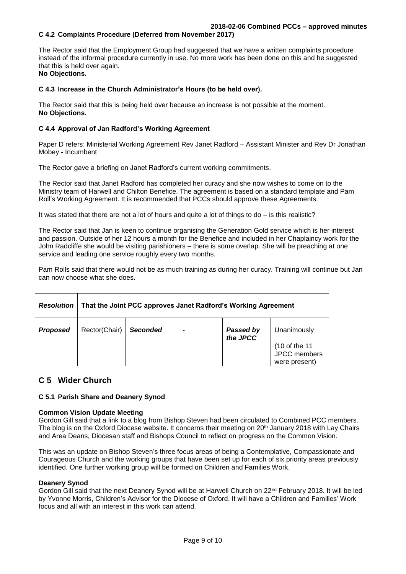# **C 4.2 Complaints Procedure (Deferred from November 2017)**

The Rector said that the Employment Group had suggested that we have a written complaints procedure instead of the informal procedure currently in use. No more work has been done on this and he suggested that this is held over again. **No Objections.**

#### **C 4.3 Increase in the Church Administrator's Hours (to be held over).**

The Rector said that this is being held over because an increase is not possible at the moment. **No Objections.**

#### **C 4.4 Approval of Jan Radford's Working Agreement**

Paper D refers: Ministerial Working Agreement Rev Janet Radford – Assistant Minister and Rev Dr Jonathan Mobey - Incumbent

The Rector gave a briefing on Janet Radford's current working commitments.

The Rector said that Janet Radford has completed her curacy and she now wishes to come on to the Ministry team of Harwell and Chilton Benefice. The agreement is based on a standard template and Pam Roll's Working Agreement. It is recommended that PCCs should approve these Agreements.

It was stated that there are not a lot of hours and quite a lot of things to do – is this realistic?

The Rector said that Jan is keen to continue organising the Generation Gold service which is her interest and passion. Outside of her 12 hours a month for the Benefice and included in her Chaplaincy work for the John Radcliffe she would be visiting parishioners – there is some overlap. She will be preaching at one service and leading one service roughly every two months.

Pam Rolls said that there would not be as much training as during her curacy. Training will continue but Jan can now choose what she does.

| <b>Resolution</b> | That the Joint PCC approves Janet Radford's Working Agreement |                 |  |                              |                                                               |  |  |  |
|-------------------|---------------------------------------------------------------|-----------------|--|------------------------------|---------------------------------------------------------------|--|--|--|
| <b>Proposed</b>   | Rector(Chair)                                                 | <b>Seconded</b> |  | <b>Passed by</b><br>the JPCC | Unanimously<br>(10 of the 11<br>JPCC members<br>were present) |  |  |  |

# **C 5 Wider Church**

#### **C 5.1 Parish Share and Deanery Synod**

#### **Common Vision Update Meeting**

Gordon Gill said that a link to a blog from Bishop Steven had been circulated to Combined PCC members. The blog is on the Oxford Diocese website. It concerns their meeting on 20<sup>th</sup> January 2018 with Lay Chairs and Area Deans, Diocesan staff and Bishops Council to reflect on progress on the Common Vision.

This was an update on Bishop Steven's three focus areas of being a Contemplative, Compassionate and Courageous Church and the working groups that have been set up for each of six priority areas previously identified. One further working group will be formed on Children and Families Work.

#### **Deanery Synod**

Gordon Gill said that the next Deanery Synod will be at Harwell Church on 22nd February 2018. It will be led by Yvonne Morris, Children's Advisor for the Diocese of Oxford. It will have a Children and Families' Work focus and all with an interest in this work can attend.